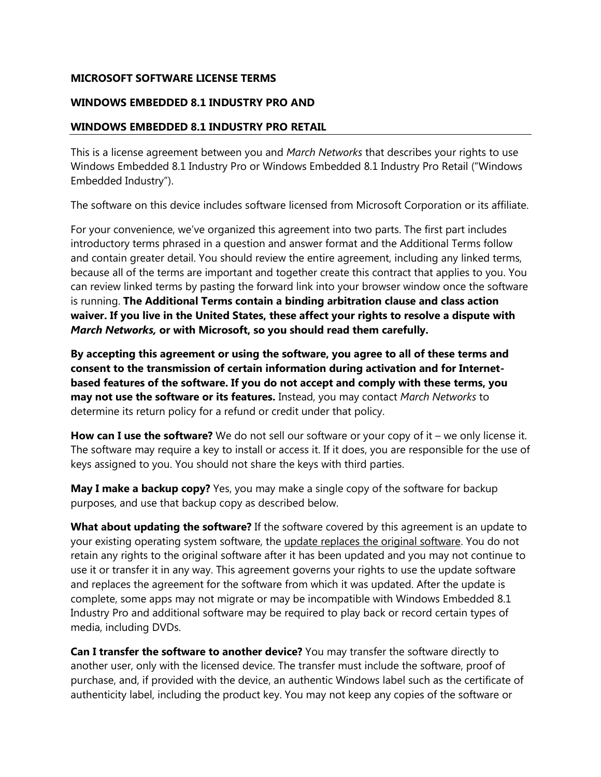#### **MICROSOFT SOFTWARE LICENSE TERMS**

#### **WINDOWS EMBEDDED 8.1 INDUSTRY PRO AND**

#### **WINDOWS EMBEDDED 8.1 INDUSTRY PRO RETAIL**

This is a license agreement between you and *March Networks* that describes your rights to use Windows Embedded 8.1 Industry Pro or Windows Embedded 8.1 Industry Pro Retail ("Windows Embedded Industry").

The software on this device includes software licensed from Microsoft Corporation or its affiliate.

For your convenience, we've organized this agreement into two parts. The first part includes introductory terms phrased in a question and answer format and the Additional Terms follow and contain greater detail. You should review the entire agreement, including any linked terms, because all of the terms are important and together create this contract that applies to you. You can review linked terms by pasting the forward link into your browser window once the software is running. **The Additional Terms contain a binding arbitration clause and class action waiver. If you live in the United States, these affect your rights to resolve a dispute with**  *March Networks,* **or with Microsoft, so you should read them carefully.**

**By accepting this agreement or using the software, you agree to all of these terms and consent to the transmission of certain information during activation and for Internetbased features of the software. If you do not accept and comply with these terms, you may not use the software or its features.** Instead, you may contact *March Networks* to determine its return policy for a refund or credit under that policy.

**How can I use the software?** We do not sell our software or your copy of it – we only license it. The software may require a key to install or access it. If it does, you are responsible for the use of keys assigned to you. You should not share the keys with third parties.

**May I make a backup copy?** Yes, you may make a single copy of the software for backup purposes, and use that backup copy as described below.

**What about updating the software?** If the software covered by this agreement is an update to your existing operating system software, the update replaces the original software. You do not retain any rights to the original software after it has been updated and you may not continue to use it or transfer it in any way. This agreement governs your rights to use the update software and replaces the agreement for the software from which it was updated. After the update is complete, some apps may not migrate or may be incompatible with Windows Embedded 8.1 Industry Pro and additional software may be required to play back or record certain types of media, including DVDs.

**Can I transfer the software to another device?** You may transfer the software directly to another user, only with the licensed device. The transfer must include the software, proof of purchase, and, if provided with the device, an authentic Windows label such as the certificate of authenticity label, including the product key. You may not keep any copies of the software or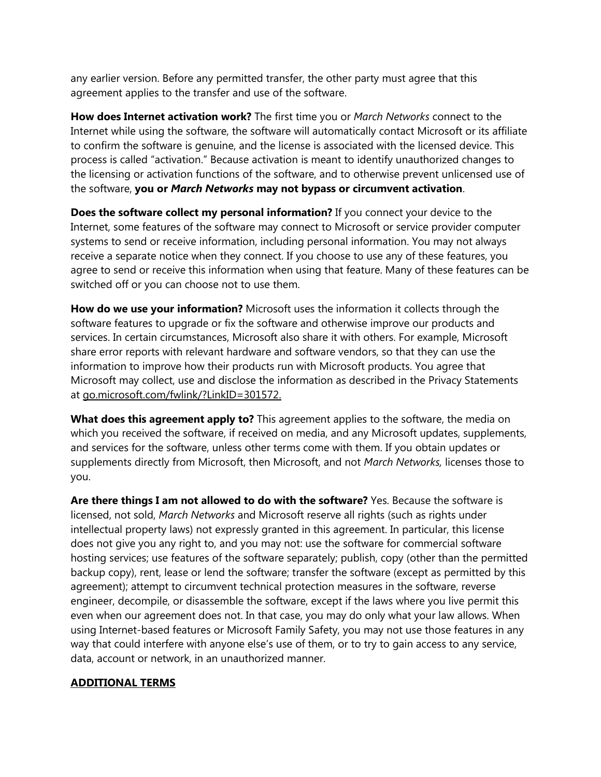any earlier version. Before any permitted transfer, the other party must agree that this agreement applies to the transfer and use of the software.

**How does Internet activation work?** The first time you or *March Networks* connect to the Internet while using the software, the software will automatically contact Microsoft or its affiliate to confirm the software is genuine, and the license is associated with the licensed device. This process is called "activation." Because activation is meant to identify unauthorized changes to the licensing or activation functions of the software, and to otherwise prevent unlicensed use of the software, **you or** *March Networks* **may not bypass or circumvent activation**.

**Does the software collect my personal information?** If you connect your device to the Internet, some features of the software may connect to Microsoft or service provider computer systems to send or receive information, including personal information. You may not always receive a separate notice when they connect. If you choose to use any of these features, you agree to send or receive this information when using that feature. Many of these features can be switched off or you can choose not to use them.

**How do we use your information?** Microsoft uses the information it collects through the software features to upgrade or fix the software and otherwise improve our products and services. In certain circumstances, Microsoft also share it with others. For example, Microsoft share error reports with relevant hardware and software vendors, so that they can use the information to improve how their products run with Microsoft products. You agree that Microsoft may collect, use and disclose the information as described in the Privacy Statements at go.microsoft.com/fwlink/?LinkID=301572.

**What does this agreement apply to?** This agreement applies to the software, the media on which you received the software, if received on media, and any Microsoft updates, supplements, and services for the software, unless other terms come with them. If you obtain updates or supplements directly from Microsoft, then Microsoft, and not *March Networks,* licenses those to you.

**Are there things I am not allowed to do with the software?** Yes. Because the software is licensed, not sold, *March Networks* and Microsoft reserve all rights (such as rights under intellectual property laws) not expressly granted in this agreement. In particular, this license does not give you any right to, and you may not: use the software for commercial software hosting services; use features of the software separately; publish, copy (other than the permitted backup copy), rent, lease or lend the software; transfer the software (except as permitted by this agreement); attempt to circumvent technical protection measures in the software, reverse engineer, decompile, or disassemble the software, except if the laws where you live permit this even when our agreement does not. In that case, you may do only what your law allows. When using Internet-based features or Microsoft Family Safety, you may not use those features in any way that could interfere with anyone else's use of them, or to try to gain access to any service, data, account or network, in an unauthorized manner.

#### **ADDITIONAL TERMS**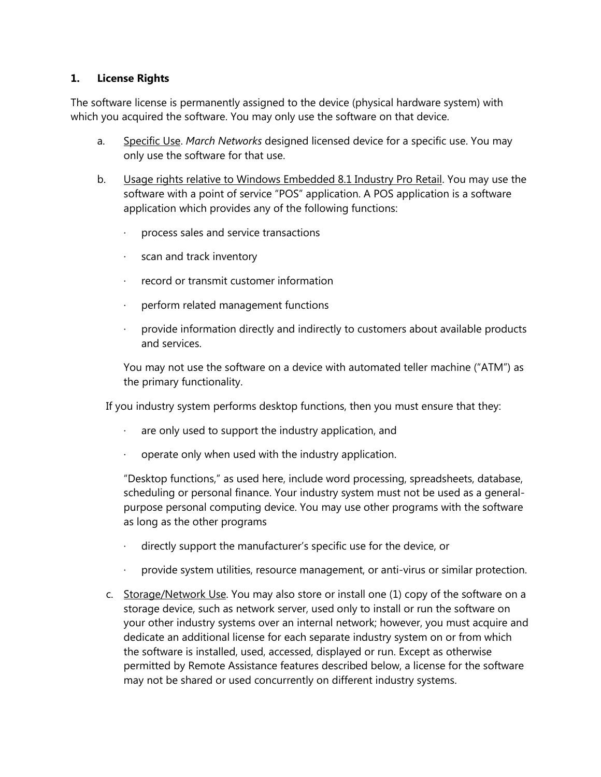#### **1. License Rights**

The software license is permanently assigned to the device (physical hardware system) with which you acquired the software. You may only use the software on that device.

- a. Specific Use. *March Networks* designed licensed device for a specific use. You may only use the software for that use.
- b. Usage rights relative to Windows Embedded 8.1 Industry Pro Retail. You may use the software with a point of service "POS" application. A POS application is a software application which provides any of the following functions:
	- · process sales and service transactions
	- · scan and track inventory
	- · record or transmit customer information
	- · perform related management functions
	- · provide information directly and indirectly to customers about available products and services.

You may not use the software on a device with automated teller machine ("ATM") as the primary functionality.

If you industry system performs desktop functions, then you must ensure that they:

- are only used to support the industry application, and
- operate only when used with the industry application.

"Desktop functions," as used here, include word processing, spreadsheets, database, scheduling or personal finance. Your industry system must not be used as a generalpurpose personal computing device. You may use other programs with the software as long as the other programs

- directly support the manufacturer's specific use for the device, or
- · provide system utilities, resource management, or anti-virus or similar protection.
- c. Storage/Network Use. You may also store or install one (1) copy of the software on a storage device, such as network server, used only to install or run the software on your other industry systems over an internal network; however, you must acquire and dedicate an additional license for each separate industry system on or from which the software is installed, used, accessed, displayed or run. Except as otherwise permitted by Remote Assistance features described below, a license for the software may not be shared or used concurrently on different industry systems.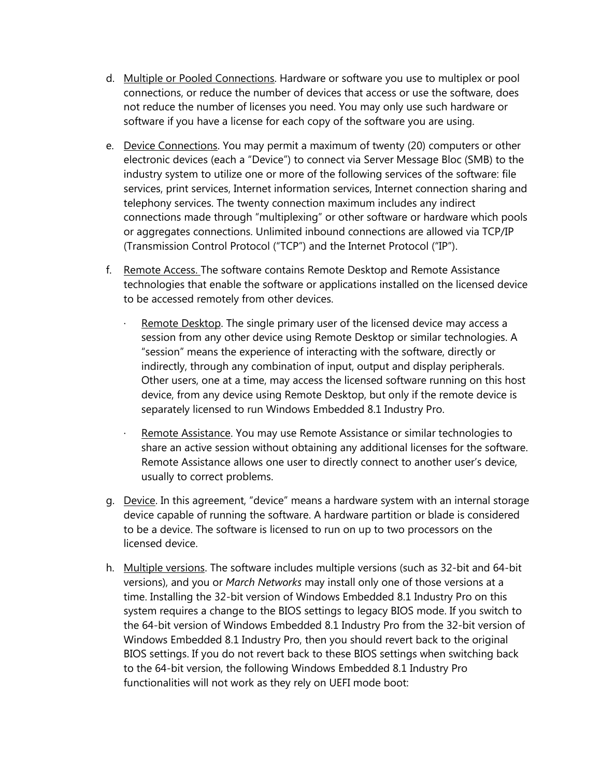- d. Multiple or Pooled Connections. Hardware or software you use to multiplex or pool connections, or reduce the number of devices that access or use the software, does not reduce the number of licenses you need. You may only use such hardware or software if you have a license for each copy of the software you are using.
- e. Device Connections. You may permit a maximum of twenty (20) computers or other electronic devices (each a "Device") to connect via Server Message Bloc (SMB) to the industry system to utilize one or more of the following services of the software: file services, print services, Internet information services, Internet connection sharing and telephony services. The twenty connection maximum includes any indirect connections made through "multiplexing" or other software or hardware which pools or aggregates connections. Unlimited inbound connections are allowed via TCP/IP (Transmission Control Protocol ("TCP") and the Internet Protocol ("IP").
- f. Remote Access. The software contains Remote Desktop and Remote Assistance technologies that enable the software or applications installed on the licensed device to be accessed remotely from other devices.
	- Remote Desktop. The single primary user of the licensed device may access a session from any other device using Remote Desktop or similar technologies. A "session" means the experience of interacting with the software, directly or indirectly, through any combination of input, output and display peripherals. Other users, one at a time, may access the licensed software running on this host device, from any device using Remote Desktop, but only if the remote device is separately licensed to run Windows Embedded 8.1 Industry Pro.
	- Remote Assistance. You may use Remote Assistance or similar technologies to share an active session without obtaining any additional licenses for the software. Remote Assistance allows one user to directly connect to another user's device, usually to correct problems.
- g. Device. In this agreement, "device" means a hardware system with an internal storage device capable of running the software. A hardware partition or blade is considered to be a device. The software is licensed to run on up to two processors on the licensed device.
- h. Multiple versions. The software includes multiple versions (such as 32-bit and 64-bit versions), and you or *March Networks* may install only one of those versions at a time. Installing the 32-bit version of Windows Embedded 8.1 Industry Pro on this system requires a change to the BIOS settings to legacy BIOS mode. If you switch to the 64-bit version of Windows Embedded 8.1 Industry Pro from the 32-bit version of Windows Embedded 8.1 Industry Pro, then you should revert back to the original BIOS settings. If you do not revert back to these BIOS settings when switching back to the 64-bit version, the following Windows Embedded 8.1 Industry Pro functionalities will not work as they rely on UEFI mode boot: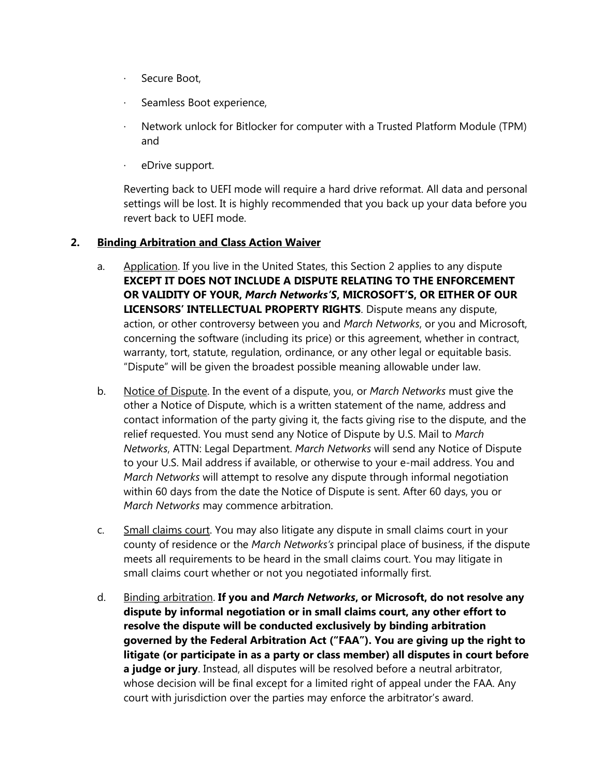- · Secure Boot,
- Seamless Boot experience,
- · Network unlock for Bitlocker for computer with a Trusted Platform Module (TPM) and
- eDrive support.

Reverting back to UEFI mode will require a hard drive reformat. All data and personal settings will be lost. It is highly recommended that you back up your data before you revert back to UEFI mode.

#### **2. Binding Arbitration and Class Action Waiver**

- a. Application. If you live in the United States, this Section 2 applies to any dispute **EXCEPT IT DOES NOT INCLUDE A DISPUTE RELATING TO THE ENFORCEMENT OR VALIDITY OF YOUR,** *March Networks'S***, MICROSOFT'S, OR EITHER OF OUR LICENSORS' INTELLECTUAL PROPERTY RIGHTS**. Dispute means any dispute, action, or other controversy between you and *March Networks*, or you and Microsoft, concerning the software (including its price) or this agreement, whether in contract, warranty, tort, statute, regulation, ordinance, or any other legal or equitable basis. "Dispute" will be given the broadest possible meaning allowable under law.
- b. Notice of Dispute. In the event of a dispute, you, or *March Networks* must give the other a Notice of Dispute, which is a written statement of the name, address and contact information of the party giving it, the facts giving rise to the dispute, and the relief requested. You must send any Notice of Dispute by U.S. Mail to *March Networks*, ATTN: Legal Department. *March Networks* will send any Notice of Dispute to your U.S. Mail address if available, or otherwise to your e-mail address. You and *March Networks* will attempt to resolve any dispute through informal negotiation within 60 days from the date the Notice of Dispute is sent. After 60 days, you or *March Networks* may commence arbitration.
- c. Small claims court. You may also litigate any dispute in small claims court in your county of residence or the *March Networks's* principal place of business, if the dispute meets all requirements to be heard in the small claims court. You may litigate in small claims court whether or not you negotiated informally first.
- d. Binding arbitration. **If you and** *March Networks***, or Microsoft, do not resolve any dispute by informal negotiation or in small claims court, any other effort to resolve the dispute will be conducted exclusively by binding arbitration governed by the Federal Arbitration Act ("FAA"). You are giving up the right to litigate (or participate in as a party or class member) all disputes in court before a judge or jury**. Instead, all disputes will be resolved before a neutral arbitrator, whose decision will be final except for a limited right of appeal under the FAA. Any court with jurisdiction over the parties may enforce the arbitrator's award.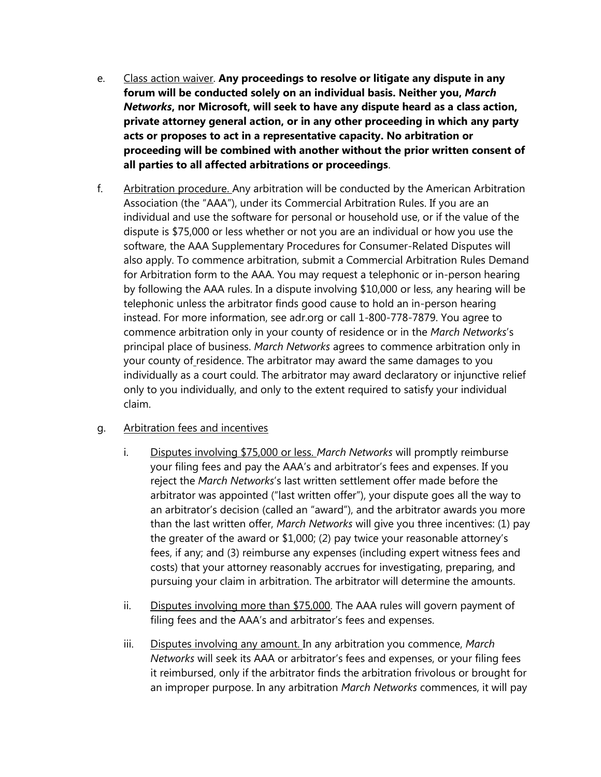- e. Class action waiver. **Any proceedings to resolve or litigate any dispute in any forum will be conducted solely on an individual basis. Neither you,** *March Networks***, nor Microsoft, will seek to have any dispute heard as a class action, private attorney general action, or in any other proceeding in which any party acts or proposes to act in a representative capacity. No arbitration or proceeding will be combined with another without the prior written consent of all parties to all affected arbitrations or proceedings**.
- f. Arbitration procedure. Any arbitration will be conducted by the American Arbitration Association (the "AAA"), under its Commercial Arbitration Rules. If you are an individual and use the software for personal or household use, or if the value of the dispute is \$75,000 or less whether or not you are an individual or how you use the software, the AAA Supplementary Procedures for Consumer-Related Disputes will also apply. To commence arbitration, submit a Commercial Arbitration Rules Demand for Arbitration form to the AAA. You may request a telephonic or in-person hearing by following the AAA rules. In a dispute involving \$10,000 or less, any hearing will be telephonic unless the arbitrator finds good cause to hold an in-person hearing instead. For more information, see adr.org or call 1-800-778-7879. You agree to commence arbitration only in your county of residence or in the *March Networks*'s principal place of business. *March Networks* agrees to commence arbitration only in your county of residence. The arbitrator may award the same damages to you individually as a court could. The arbitrator may award declaratory or injunctive relief only to you individually, and only to the extent required to satisfy your individual claim.

### g. Arbitration fees and incentives

- i. Disputes involving \$75,000 or less. *March Networks* will promptly reimburse your filing fees and pay the AAA's and arbitrator's fees and expenses. If you reject the *March Networks*'s last written settlement offer made before the arbitrator was appointed ("last written offer"), your dispute goes all the way to an arbitrator's decision (called an "award"), and the arbitrator awards you more than the last written offer, *March Networks* will give you three incentives: (1) pay the greater of the award or \$1,000; (2) pay twice your reasonable attorney's fees, if any; and (3) reimburse any expenses (including expert witness fees and costs) that your attorney reasonably accrues for investigating, preparing, and pursuing your claim in arbitration. The arbitrator will determine the amounts.
- ii. Disputes involving more than \$75,000. The AAA rules will govern payment of filing fees and the AAA's and arbitrator's fees and expenses.
- iii. Disputes involving any amount. In any arbitration you commence, *March Networks* will seek its AAA or arbitrator's fees and expenses, or your filing fees it reimbursed, only if the arbitrator finds the arbitration frivolous or brought for an improper purpose. In any arbitration *March Networks* commences, it will pay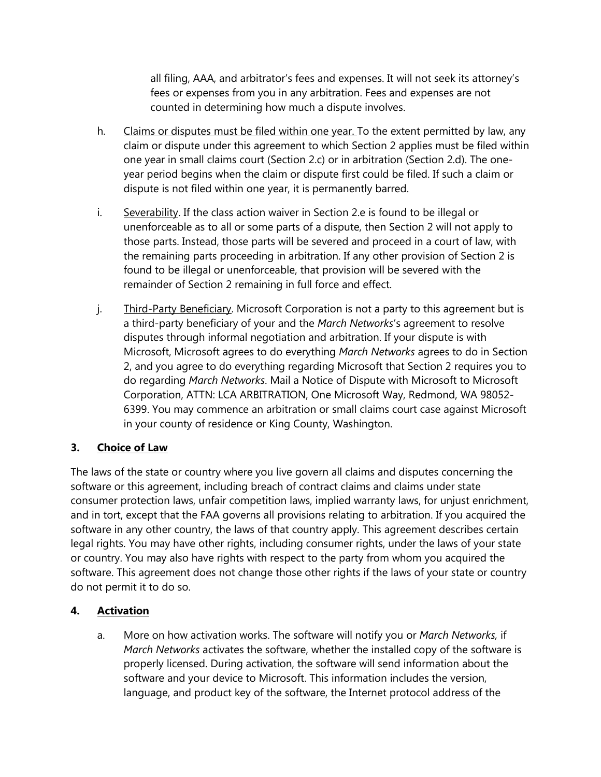all filing, AAA, and arbitrator's fees and expenses. It will not seek its attorney's fees or expenses from you in any arbitration. Fees and expenses are not counted in determining how much a dispute involves.

- h. Claims or disputes must be filed within one year. To the extent permitted by law, any claim or dispute under this agreement to which Section 2 applies must be filed within one year in small claims court (Section 2.c) or in arbitration (Section 2.d). The oneyear period begins when the claim or dispute first could be filed. If such a claim or dispute is not filed within one year, it is permanently barred.
- i. Severability. If the class action waiver in Section 2.e is found to be illegal or unenforceable as to all or some parts of a dispute, then Section 2 will not apply to those parts. Instead, those parts will be severed and proceed in a court of law, with the remaining parts proceeding in arbitration. If any other provision of Section 2 is found to be illegal or unenforceable, that provision will be severed with the remainder of Section 2 remaining in full force and effect.
- j. Third-Party Beneficiary. Microsoft Corporation is not a party to this agreement but is a third-party beneficiary of your and the *March Networks*'s agreement to resolve disputes through informal negotiation and arbitration. If your dispute is with Microsoft, Microsoft agrees to do everything *March Networks* agrees to do in Section 2, and you agree to do everything regarding Microsoft that Section 2 requires you to do regarding *March Networks*. Mail a Notice of Dispute with Microsoft to Microsoft Corporation, ATTN: LCA ARBITRATION, One Microsoft Way, Redmond, WA 98052- 6399. You may commence an arbitration or small claims court case against Microsoft in your county of residence or King County, Washington.

# **3. Choice of Law**

The laws of the state or country where you live govern all claims and disputes concerning the software or this agreement, including breach of contract claims and claims under state consumer protection laws, unfair competition laws, implied warranty laws, for unjust enrichment, and in tort, except that the FAA governs all provisions relating to arbitration. If you acquired the software in any other country, the laws of that country apply. This agreement describes certain legal rights. You may have other rights, including consumer rights, under the laws of your state or country. You may also have rights with respect to the party from whom you acquired the software. This agreement does not change those other rights if the laws of your state or country do not permit it to do so.

### **4. Activation**

a. More on how activation works. The software will notify you or *March Networks,* if *March Networks* activates the software, whether the installed copy of the software is properly licensed. During activation, the software will send information about the software and your device to Microsoft. This information includes the version, language, and product key of the software, the Internet protocol address of the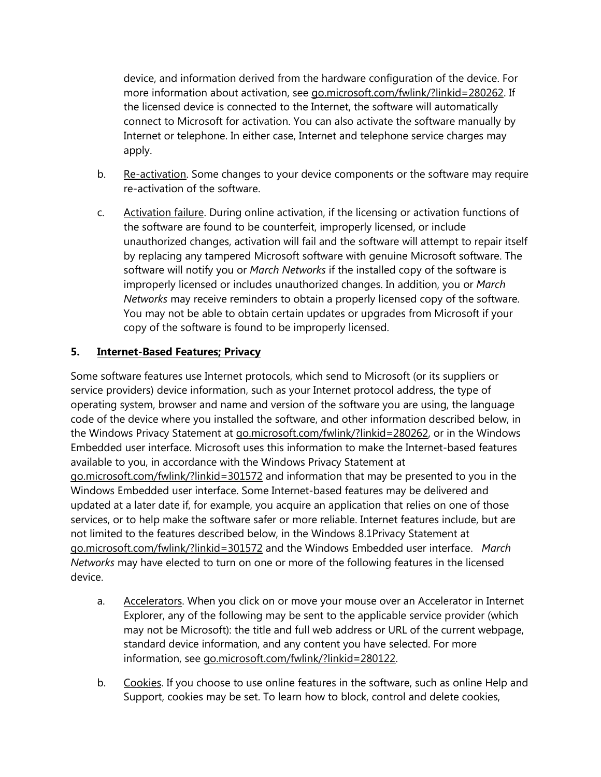device, and information derived from the hardware configuration of the device. For more information about activation, see go.microsoft.com/fwlink/?linkid=280262. If the licensed device is connected to the Internet, the software will automatically connect to Microsoft for activation. You can also activate the software manually by Internet or telephone. In either case, Internet and telephone service charges may apply.

- b. Re-activation. Some changes to your device components or the software may require re-activation of the software.
- c. Activation failure. During online activation, if the licensing or activation functions of the software are found to be counterfeit, improperly licensed, or include unauthorized changes, activation will fail and the software will attempt to repair itself by replacing any tampered Microsoft software with genuine Microsoft software. The software will notify you or *March Networks* if the installed copy of the software is improperly licensed or includes unauthorized changes. In addition, you or *March Networks* may receive reminders to obtain a properly licensed copy of the software. You may not be able to obtain certain updates or upgrades from Microsoft if your copy of the software is found to be improperly licensed.

### **5. Internet-Based Features; Privacy**

Some software features use Internet protocols, which send to Microsoft (or its suppliers or service providers) device information, such as your Internet protocol address, the type of operating system, browser and name and version of the software you are using, the language code of the device where you installed the software, and other information described below, in the Windows Privacy Statement at go.microsoft.com/fwlink/?linkid=280262, or in the Windows Embedded user interface. Microsoft uses this information to make the Internet-based features available to you, in accordance with the Windows Privacy Statement at go.microsoft.com/fwlink/?linkid=301572 and information that may be presented to you in the Windows Embedded user interface. Some Internet-based features may be delivered and updated at a later date if, for example, you acquire an application that relies on one of those services, or to help make the software safer or more reliable. Internet features include, but are not limited to the features described below, in the Windows 8.1Privacy Statement at go.microsoft.com/fwlink/?linkid=301572 and the Windows Embedded user interface. *March Networks* may have elected to turn on one or more of the following features in the licensed device.

- a. Accelerators. When you click on or move your mouse over an Accelerator in Internet Explorer, any of the following may be sent to the applicable service provider (which may not be Microsoft): the title and full web address or URL of the current webpage, standard device information, and any content you have selected. For more information, see go.microsoft.com/fwlink/?linkid=280122.
- b. Cookies. If you choose to use online features in the software, such as online Help and Support, cookies may be set. To learn how to block, control and delete cookies,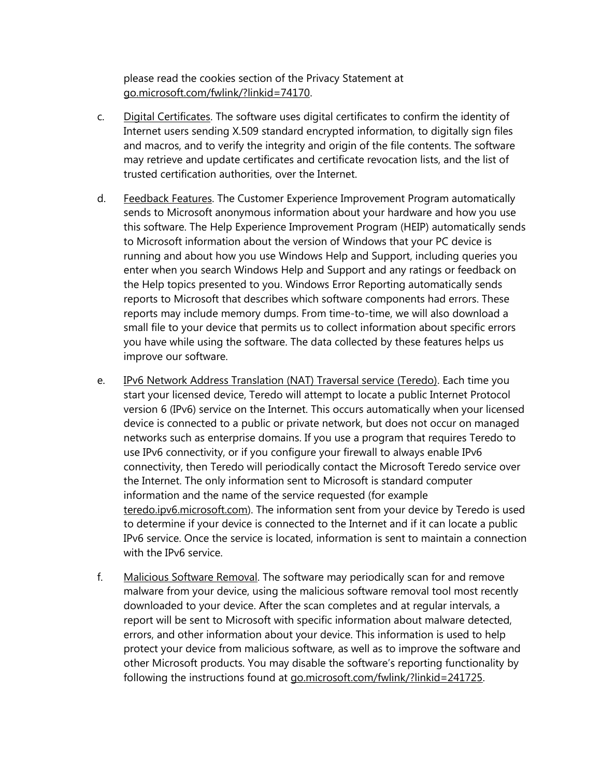please read the cookies section of the Privacy Statement at go.microsoft.com/fwlink/?linkid=74170.

- c. Digital Certificates. The software uses digital certificates to confirm the identity of Internet users sending X.509 standard encrypted information, to digitally sign files and macros, and to verify the integrity and origin of the file contents. The software may retrieve and update certificates and certificate revocation lists, and the list of trusted certification authorities, over the Internet.
- d. Feedback Features. The Customer Experience Improvement Program automatically sends to Microsoft anonymous information about your hardware and how you use this software. The Help Experience Improvement Program (HEIP) automatically sends to Microsoft information about the version of Windows that your PC device is running and about how you use Windows Help and Support, including queries you enter when you search Windows Help and Support and any ratings or feedback on the Help topics presented to you. Windows Error Reporting automatically sends reports to Microsoft that describes which software components had errors. These reports may include memory dumps. From time-to-time, we will also download a small file to your device that permits us to collect information about specific errors you have while using the software. The data collected by these features helps us improve our software.
- e. IPv6 Network Address Translation (NAT) Traversal service (Teredo). Each time you start your licensed device, Teredo will attempt to locate a public Internet Protocol version 6 (IPv6) service on the Internet. This occurs automatically when your licensed device is connected to a public or private network, but does not occur on managed networks such as enterprise domains. If you use a program that requires Teredo to use IPv6 connectivity, or if you configure your firewall to always enable IPv6 connectivity, then Teredo will periodically contact the Microsoft Teredo service over the Internet. The only information sent to Microsoft is standard computer information and the name of the service requested (for example teredo.ipv6.microsoft.com). The information sent from your device by Teredo is used to determine if your device is connected to the Internet and if it can locate a public IPv6 service. Once the service is located, information is sent to maintain a connection with the IPv6 service.
- f. Malicious Software Removal. The software may periodically scan for and remove malware from your device, using the malicious software removal tool most recently downloaded to your device. After the scan completes and at regular intervals, a report will be sent to Microsoft with specific information about malware detected, errors, and other information about your device. This information is used to help protect your device from malicious software, as well as to improve the software and other Microsoft products. You may disable the software's reporting functionality by following the instructions found at go.microsoft.com/fwlink/?linkid=241725.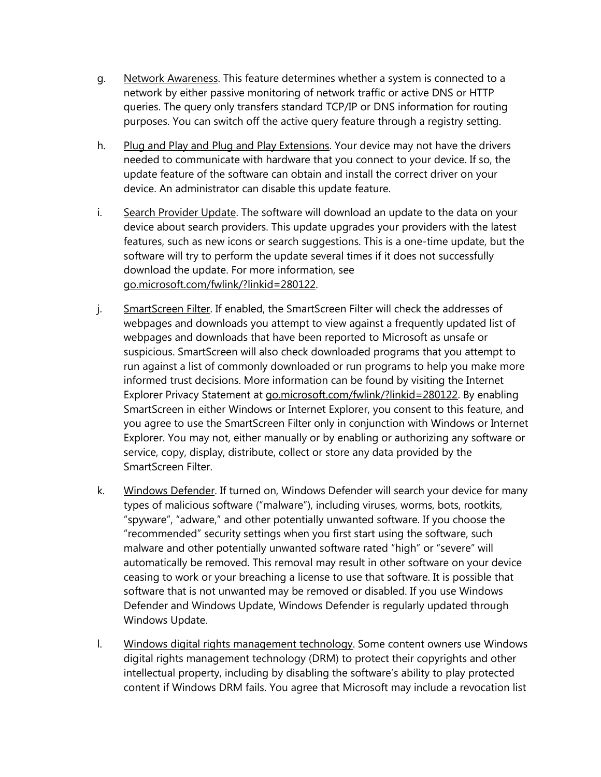- g. Network Awareness. This feature determines whether a system is connected to a network by either passive monitoring of network traffic or active DNS or HTTP queries. The query only transfers standard TCP/IP or DNS information for routing purposes. You can switch off the active query feature through a registry setting.
- h. Plug and Play and Plug and Play Extensions. Your device may not have the drivers needed to communicate with hardware that you connect to your device. If so, the update feature of the software can obtain and install the correct driver on your device. An administrator can disable this update feature.
- i. Search Provider Update. The software will download an update to the data on your device about search providers. This update upgrades your providers with the latest features, such as new icons or search suggestions. This is a one-time update, but the software will try to perform the update several times if it does not successfully download the update. For more information, see go.microsoft.com/fwlink/?linkid=280122.
- j. SmartScreen Filter. If enabled, the SmartScreen Filter will check the addresses of webpages and downloads you attempt to view against a frequently updated list of webpages and downloads that have been reported to Microsoft as unsafe or suspicious. SmartScreen will also check downloaded programs that you attempt to run against a list of commonly downloaded or run programs to help you make more informed trust decisions. More information can be found by visiting the Internet Explorer Privacy Statement at go.microsoft.com/fwlink/?linkid=280122. By enabling SmartScreen in either Windows or Internet Explorer, you consent to this feature, and you agree to use the SmartScreen Filter only in conjunction with Windows or Internet Explorer. You may not, either manually or by enabling or authorizing any software or service, copy, display, distribute, collect or store any data provided by the SmartScreen Filter.
- k. Windows Defender. If turned on, Windows Defender will search your device for many types of malicious software ("malware"), including viruses, worms, bots, rootkits, "spyware", "adware," and other potentially unwanted software. If you choose the "recommended" security settings when you first start using the software, such malware and other potentially unwanted software rated "high" or "severe" will automatically be removed. This removal may result in other software on your device ceasing to work or your breaching a license to use that software. It is possible that software that is not unwanted may be removed or disabled. If you use Windows Defender and Windows Update, Windows Defender is regularly updated through Windows Update.
- l. Windows digital rights management technology. Some content owners use Windows digital rights management technology (DRM) to protect their copyrights and other intellectual property, including by disabling the software's ability to play protected content if Windows DRM fails. You agree that Microsoft may include a revocation list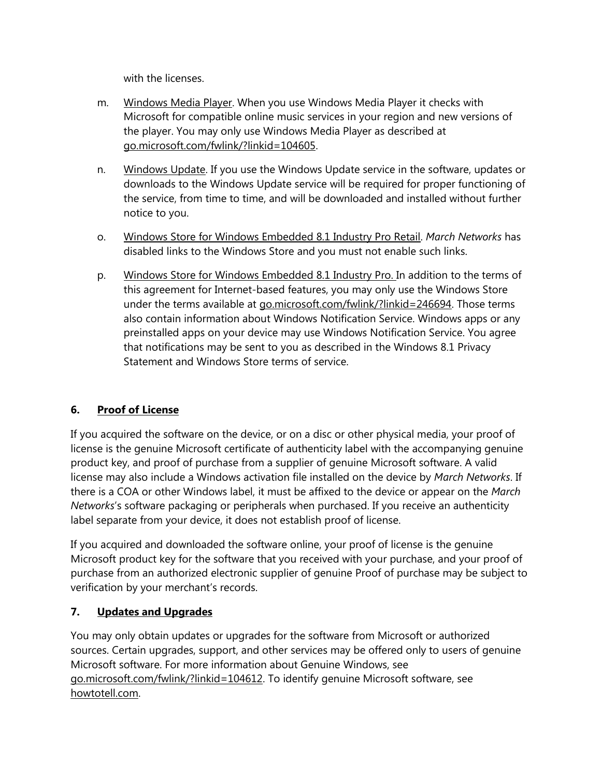with the licenses.

- m. Windows Media Player. When you use Windows Media Player it checks with Microsoft for compatible online music services in your region and new versions of the player. You may only use Windows Media Player as described at go.microsoft.com/fwlink/?linkid=104605.
- n. Windows Update. If you use the Windows Update service in the software, updates or downloads to the Windows Update service will be required for proper functioning of the service, from time to time, and will be downloaded and installed without further notice to you.
- o. Windows Store for Windows Embedded 8.1 Industry Pro Retail. *March Networks* has disabled links to the Windows Store and you must not enable such links.
- p. Windows Store for Windows Embedded 8.1 Industry Pro. In addition to the terms of this agreement for Internet-based features, you may only use the Windows Store under the terms available at go.microsoft.com/fwlink/?linkid=246694. Those terms also contain information about Windows Notification Service. Windows apps or any preinstalled apps on your device may use Windows Notification Service. You agree that notifications may be sent to you as described in the Windows 8.1 Privacy Statement and Windows Store terms of service.

# **6. Proof of License**

If you acquired the software on the device, or on a disc or other physical media, your proof of license is the genuine Microsoft certificate of authenticity label with the accompanying genuine product key, and proof of purchase from a supplier of genuine Microsoft software. A valid license may also include a Windows activation file installed on the device by *March Networks*. If there is a COA or other Windows label, it must be affixed to the device or appear on the *March Networks*'s software packaging or peripherals when purchased. If you receive an authenticity label separate from your device, it does not establish proof of license.

If you acquired and downloaded the software online, your proof of license is the genuine Microsoft product key for the software that you received with your purchase, and your proof of purchase from an authorized electronic supplier of genuine Proof of purchase may be subject to verification by your merchant's records.

### **7. Updates and Upgrades**

You may only obtain updates or upgrades for the software from Microsoft or authorized sources. Certain upgrades, support, and other services may be offered only to users of genuine Microsoft software. For more information about Genuine Windows, see go.microsoft.com/fwlink/?linkid=104612. To identify genuine Microsoft software, see howtotell.com.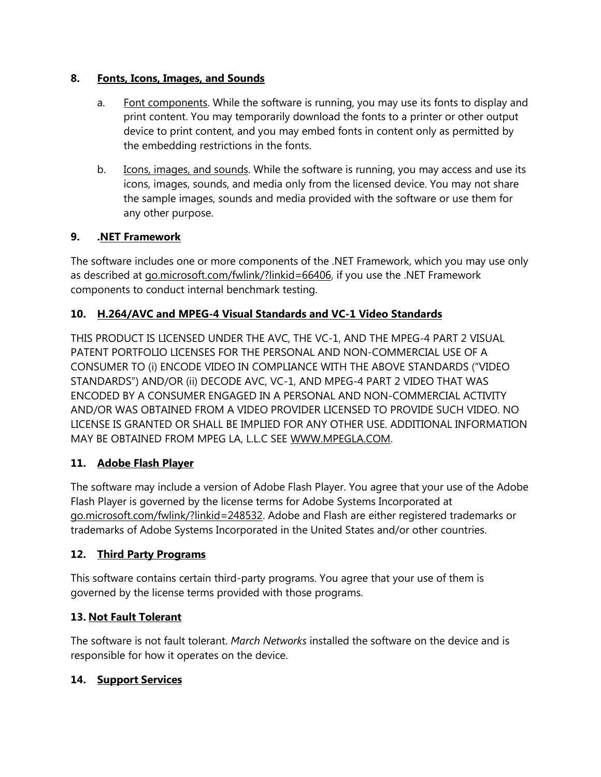### **8. Fonts, Icons, Images, and Sounds**

- a. Font components. While the software is running, you may use its fonts to display and print content. You may temporarily download the fonts to a printer or other output device to print content, and you may embed fonts in content only as permitted by the embedding restrictions in the fonts.
- b. Icons, images, and sounds. While the software is running, you may access and use its icons, images, sounds, and media only from the licensed device. You may not share the sample images, sounds and media provided with the software or use them for any other purpose.

### **9. .NET Framework**

The software includes one or more components of the .NET Framework, which you may use only as described at go.microsoft.com/fwlink/?linkid=66406, if you use the .NET Framework components to conduct internal benchmark testing.

### **10. H.264/AVC and MPEG-4 Visual Standards and VC-1 Video Standards**

THIS PRODUCT IS LICENSED UNDER THE AVC, THE VC-1, AND THE MPEG-4 PART 2 VISUAL PATENT PORTFOLIO LICENSES FOR THE PERSONAL AND NON-COMMERCIAL USE OF A CONSUMER TO (i) ENCODE VIDEO IN COMPLIANCE WITH THE ABOVE STANDARDS ("VIDEO STANDARDS") AND/OR (ii) DECODE AVC, VC-1, AND MPEG-4 PART 2 VIDEO THAT WAS ENCODED BY A CONSUMER ENGAGED IN A PERSONAL AND NON-COMMERCIAL ACTIVITY AND/OR WAS OBTAINED FROM A VIDEO PROVIDER LICENSED TO PROVIDE SUCH VIDEO. NO LICENSE IS GRANTED OR SHALL BE IMPLIED FOR ANY OTHER USE. ADDITIONAL INFORMATION MAY BE OBTAINED FROM MPEG LA, L.L.C SEE WWW.MPEGLA.COM.

### **11. Adobe Flash Player**

The software may include a version of Adobe Flash Player. You agree that your use of the Adobe Flash Player is governed by the license terms for Adobe Systems Incorporated at go.microsoft.com/fwlink/?linkid=248532. Adobe and Flash are either registered trademarks or trademarks of Adobe Systems Incorporated in the United States and/or other countries.

### **12. Third Party Programs**

This software contains certain third-party programs. You agree that your use of them is governed by the license terms provided with those programs.

# **13. Not Fault Tolerant**

The software is not fault tolerant. *March Networks* installed the software on the device and is responsible for how it operates on the device.

### **14. Support Services**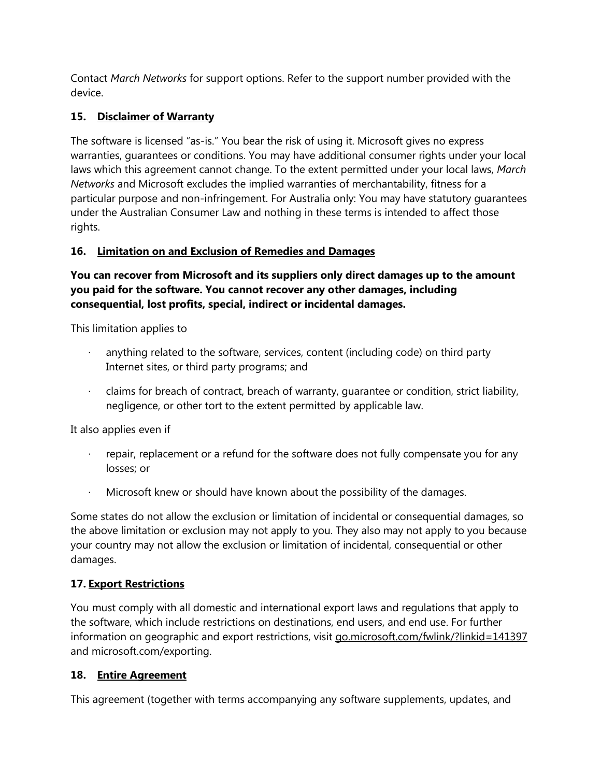Contact *March Networks* for support options. Refer to the support number provided with the device.

# **15. Disclaimer of Warranty**

The software is licensed "as-is." You bear the risk of using it. Microsoft gives no express warranties, guarantees or conditions. You may have additional consumer rights under your local laws which this agreement cannot change. To the extent permitted under your local laws, *March Networks* and Microsoft excludes the implied warranties of merchantability, fitness for a particular purpose and non-infringement. For Australia only: You may have statutory guarantees under the Australian Consumer Law and nothing in these terms is intended to affect those rights.

# **16. Limitation on and Exclusion of Remedies and Damages**

**You can recover from Microsoft and its suppliers only direct damages up to the amount you paid for the software. You cannot recover any other damages, including consequential, lost profits, special, indirect or incidental damages.**

This limitation applies to

- anything related to the software, services, content (including code) on third party Internet sites, or third party programs; and
- · claims for breach of contract, breach of warranty, guarantee or condition, strict liability, negligence, or other tort to the extent permitted by applicable law.

It also applies even if

- repair, replacement or a refund for the software does not fully compensate you for any losses; or
- Microsoft knew or should have known about the possibility of the damages.

Some states do not allow the exclusion or limitation of incidental or consequential damages, so the above limitation or exclusion may not apply to you. They also may not apply to you because your country may not allow the exclusion or limitation of incidental, consequential or other damages.

# **17. Export Restrictions**

You must comply with all domestic and international export laws and regulations that apply to the software, which include restrictions on destinations, end users, and end use. For further information on geographic and export restrictions, visit go.microsoft.com/fwlink/?linkid=141397 and microsoft.com/exporting.

### **18. Entire Agreement**

This agreement (together with terms accompanying any software supplements, updates, and